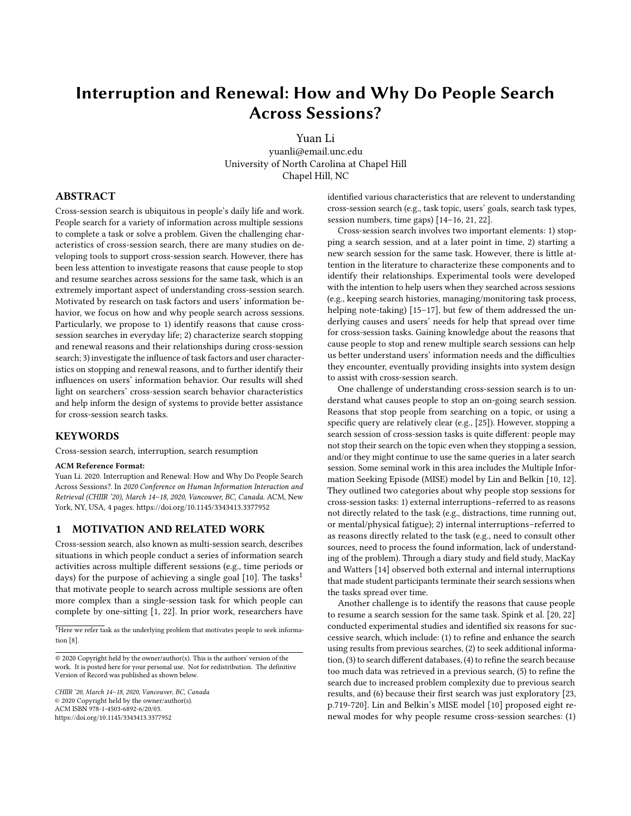# Interruption and Renewal: How and Why Do People Search Across Sessions?

Yuan Li

yuanli@email.unc.edu University of North Carolina at Chapel Hill Chapel Hill, NC

## ABSTRACT

Cross-session search is ubiquitous in people's daily life and work. People search for a variety of information across multiple sessions to complete a task or solve a problem. Given the challenging characteristics of cross-session search, there are many studies on developing tools to support cross-session search. However, there has been less attention to investigate reasons that cause people to stop and resume searches across sessions for the same task, which is an extremely important aspect of understanding cross-session search. Motivated by research on task factors and users' information behavior, we focus on how and why people search across sessions. Particularly, we propose to 1) identify reasons that cause crosssession searches in everyday life; 2) characterize search stopping and renewal reasons and their relationships during cross-session search; 3) investigate the influence of task factors and user characteristics on stopping and renewal reasons, and to further identify their influences on users' information behavior. Our results will shed light on searchers' cross-session search behavior characteristics and help inform the design of systems to provide better assistance for cross-session search tasks.

## **KEYWORDS**

Cross-session search, interruption, search resumption

#### ACM Reference Format:

Yuan Li. 2020. Interruption and Renewal: How and Why Do People Search Across Sessions?. In 2020 Conference on Human Information Interaction and Retrieval (CHIIR '20), March 14–18, 2020, Vancouver, BC, Canada. ACM, New York, NY, USA, [4](#page-3-0) pages.<https://doi.org/10.1145/3343413.3377952>

#### 1 MOTIVATION AND RELATED WORK

Cross-session search, also known as multi-session search, describes situations in which people conduct a series of information search activities across multiple different sessions (e.g., time periods or days) for the purpose of achieving a single goal  $[10]$ . The tasks<sup>[1](#page-0-0)</sup> that motivate people to search across multiple sessions are often more complex than a single-session task for which people can complete by one-sitting [\[1,](#page-3-2) [22\]](#page-3-3). In prior work, researchers have

<span id="page-0-0"></span> $1$ <sub>Here</sub> we refer task as the underlying problem that motivates people to seek information [\[8\]](#page-3-4).

identified various characteristics that are relevent to understanding cross-session search (e.g., task topic, users' goals, search task types, session numbers, time gaps) [\[14–](#page-3-5)[16,](#page-3-6) [21,](#page-3-7) [22\]](#page-3-3).

Cross-session search involves two important elements: 1) stopping a search session, and at a later point in time, 2) starting a new search session for the same task. However, there is little attention in the literature to characterize these components and to identify their relationships. Experimental tools were developed with the intention to help users when they searched across sessions (e.g., keeping search histories, managing/monitoring task process, helping note-taking) [\[15](#page-3-8)[–17\]](#page-3-9), but few of them addressed the underlying causes and users' needs for help that spread over time for cross-session tasks. Gaining knowledge about the reasons that cause people to stop and renew multiple search sessions can help us better understand users' information needs and the difficulties they encounter, eventually providing insights into system design to assist with cross-session search.

One challenge of understanding cross-session search is to understand what causes people to stop an on-going search session. Reasons that stop people from searching on a topic, or using a specific query are relatively clear (e.g., [\[25\]](#page-3-10)). However, stopping a search session of cross-session tasks is quite different: people may not stop their search on the topic even when they stopping a session, and/or they might continue to use the same queries in a later search session. Some seminal work in this area includes the Multiple Information Seeking Episode (MISE) model by Lin and Belkin [\[10,](#page-3-1) [12\]](#page-3-11). They outlined two categories about why people stop sessions for cross-session tasks: 1) external interruptions–referred to as reasons not directly related to the task (e.g., distractions, time running out, or mental/physical fatigue); 2) internal interruptions–referred to as reasons directly related to the task (e.g., need to consult other sources, need to process the found information, lack of understanding of the problem). Through a diary study and field study, MacKay and Watters [\[14\]](#page-3-5) observed both external and internal interruptions that made student participants terminate their search sessions when the tasks spread over time.

Another challenge is to identify the reasons that cause people to resume a search session for the same task. Spink et al. [\[20,](#page-3-12) [22\]](#page-3-3) conducted experimental studies and identified six reasons for successive search, which include: (1) to refine and enhance the search using results from previous searches, (2) to seek additional information, (3) to search different databases, (4) to refine the search because too much data was retrieved in a previous search, (5) to refine the search due to increased problem complexity due to previous search results, and (6) because their first search was just exploratory [\[23,](#page-3-13) p.719-720]. Lin and Belkin's MISE model [\[10\]](#page-3-1) proposed eight renewal modes for why people resume cross-session searches: (1)

<sup>© 2020</sup> Copyright held by the owner/author(s). This is the authors' version of the work. It is posted here for your personal use. Not for redistribution. The definitive Version of Record was published as shown below.

CHIIR '20, March 14–18, 2020, Vancouver, BC, Canada © 2020 Copyright held by the owner/author(s). ACM ISBN 978-1-4503-6892-6/20/03. <https://doi.org/10.1145/3343413.3377952>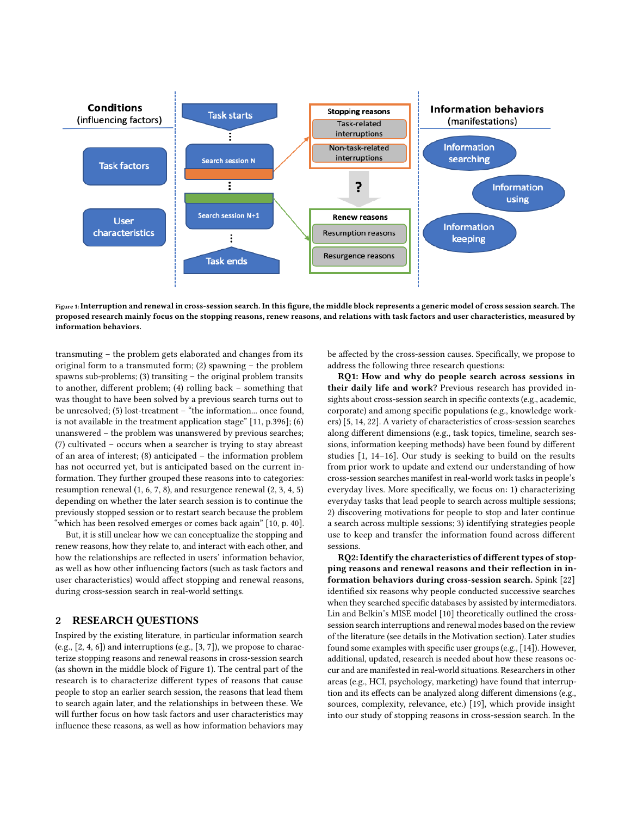<span id="page-1-0"></span>

Figure 1:Interruption and renewal in cross-session search. In this figure, the middle block represents a generic model of cross session search. The proposed research mainly focus on the stopping reasons, renew reasons, and relations with task factors and user characteristics, measured by information behaviors.

transmuting – the problem gets elaborated and changes from its original form to a transmuted form; (2) spawning – the problem spawns sub-problems; (3) transiting – the original problem transits to another, different problem; (4) rolling back – something that was thought to have been solved by a previous search turns out to be unresolved; (5) lost-treatment – "the information... once found, is not available in the treatment application stage" [\[11,](#page-3-14) p.396]; (6) unanswered – the problem was unanswered by previous searches; (7) cultivated – occurs when a searcher is trying to stay abreast of an area of interest; (8) anticipated – the information problem has not occurred yet, but is anticipated based on the current information. They further grouped these reasons into to categories: resumption renewal (1, 6, 7, 8), and resurgence renewal (2, 3, 4, 5) depending on whether the later search session is to continue the previously stopped session or to restart search because the problem "which has been resolved emerges or comes back again" [\[10,](#page-3-1) p. 40].

But, it is still unclear how we can conceptualize the stopping and renew reasons, how they relate to, and interact with each other, and how the relationships are reflected in users' information behavior, as well as how other influencing factors (such as task factors and user characteristics) would affect stopping and renewal reasons, during cross-session search in real-world settings.

# 2 RESEARCH QUESTIONS

Inspired by the existing literature, in particular information search  $(e.g., [2, 4, 6])$  $(e.g., [2, 4, 6])$  $(e.g., [2, 4, 6])$  $(e.g., [2, 4, 6])$  $(e.g., [2, 4, 6])$  $(e.g., [2, 4, 6])$  $(e.g., [2, 4, 6])$  and interruptions  $(e.g., [3, 7])$  $(e.g., [3, 7])$  $(e.g., [3, 7])$  $(e.g., [3, 7])$  $(e.g., [3, 7])$ , we propose to characterize stopping reasons and renewal reasons in cross-session search (as shown in the middle block of Figure [1\)](#page-1-0). The central part of the research is to characterize different types of reasons that cause people to stop an earlier search session, the reasons that lead them to search again later, and the relationships in between these. We will further focus on how task factors and user characteristics may influence these reasons, as well as how information behaviors may

be affected by the cross-session causes. Specifically, we propose to address the following three research questions:

RQ1: How and why do people search across sessions in their daily life and work? Previous research has provided insights about cross-session search in specific contexts (e.g., academic, corporate) and among specific populations (e.g., knowledge workers) [\[5,](#page-3-20) [14,](#page-3-5) [22\]](#page-3-3). A variety of characteristics of cross-session searches along different dimensions (e.g., task topics, timeline, search sessions, information keeping methods) have been found by different studies [\[1,](#page-3-2) [14](#page-3-5)[–16\]](#page-3-6). Our study is seeking to build on the results from prior work to update and extend our understanding of how cross-session searches manifest in real-world work tasks in people's everyday lives. More specifically, we focus on: 1) characterizing everyday tasks that lead people to search across multiple sessions; 2) discovering motivations for people to stop and later continue a search across multiple sessions; 3) identifying strategies people use to keep and transfer the information found across different sessions.

RQ2: Identify the characteristics of different types of stopping reasons and renewal reasons and their reflection in information behaviors during cross-session search. Spink [\[22\]](#page-3-3) identified six reasons why people conducted successive searches when they searched specific databases by assisted by intermediators. Lin and Belkin's MISE model [\[10\]](#page-3-1) theoretically outlined the crosssession search interruptions and renewal modes based on the review of the literature (see details in the Motivation section). Later studies found some examples with specific user groups (e.g., [\[14\]](#page-3-5)). However, additional, updated, research is needed about how these reasons occur and are manifested in real-world situations. Researchers in other areas (e.g., HCI, psychology, marketing) have found that interruption and its effects can be analyzed along different dimensions (e.g., sources, complexity, relevance, etc.) [\[19\]](#page-3-21), which provide insight into our study of stopping reasons in cross-session search. In the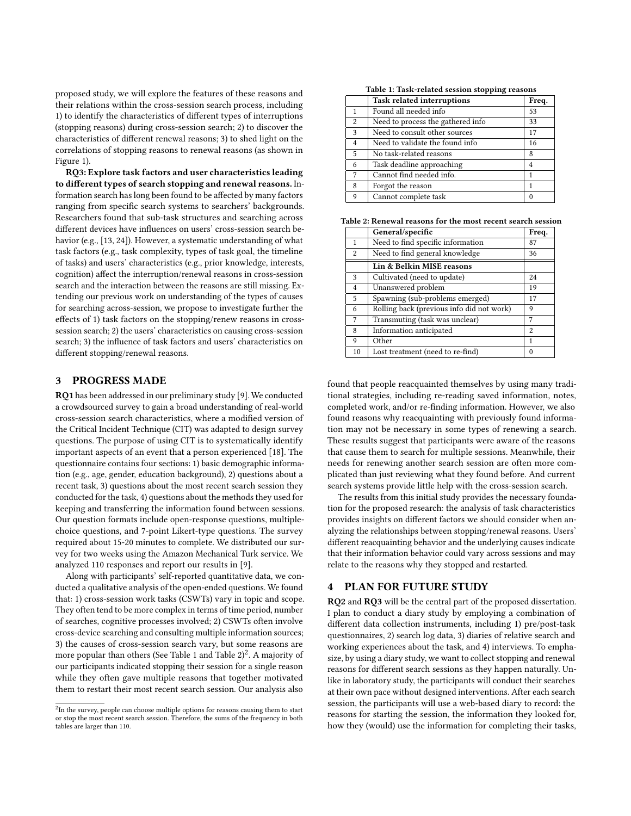proposed study, we will explore the features of these reasons and their relations within the cross-session search process, including 1) to identify the characteristics of different types of interruptions (stopping reasons) during cross-session search; 2) to discover the characteristics of different renewal reasons; 3) to shed light on the correlations of stopping reasons to renewal reasons (as shown in Figure [1\)](#page-1-0).

RQ3: Explore task factors and user characteristics leading to different types of search stopping and renewal reasons. Information search has long been found to be affected by many factors ranging from specific search systems to searchers' backgrounds. Researchers found that sub-task structures and searching across different devices have influences on users' cross-session search behavior (e.g., [\[13,](#page-3-22) [24\]](#page-3-23)). However, a systematic understanding of what task factors (e.g., task complexity, types of task goal, the timeline of tasks) and users' characteristics (e.g., prior knowledge, interests, cognition) affect the interruption/renewal reasons in cross-session search and the interaction between the reasons are still missing. Extending our previous work on understanding of the types of causes for searching across-session, we propose to investigate further the effects of 1) task factors on the stopping/renew reasons in crosssession search; 2) the users' characteristics on causing cross-session search; 3) the influence of task factors and users' characteristics on different stopping/renewal reasons.

# 3 PROGRESS MADE

RQ1 has been addressed in our preliminary study [\[9\]](#page-3-24). We conducted a crowdsourced survey to gain a broad understanding of real-world cross-session search characteristics, where a modified version of the Critical Incident Technique (CIT) was adapted to design survey questions. The purpose of using CIT is to systematically identify important aspects of an event that a person experienced [\[18\]](#page-3-25). The questionnaire contains four sections: 1) basic demographic information (e.g., age, gender, education background), 2) questions about a recent task, 3) questions about the most recent search session they conducted for the task, 4) questions about the methods they used for keeping and transferring the information found between sessions. Our question formats include open-response questions, multiplechoice questions, and 7-point Likert-type questions. The survey required about 15-20 minutes to complete. We distributed our survey for two weeks using the Amazon Mechanical Turk service. We analyzed 110 responses and report our results in [\[9\]](#page-3-24).

Along with participants' self-reported quantitative data, we conducted a qualitative analysis of the open-ended questions. We found that: 1) cross-session work tasks (CSWTs) vary in topic and scope. They often tend to be more complex in terms of time period, number of searches, cognitive processes involved; 2) CSWTs often involve cross-device searching and consulting multiple information sources; 3) the causes of cross-session search vary, but some reasons are more popular than others (See Table [1](#page-2-0) and Table [2\)](#page-2-1) $^2$  $^2$ . A majority of our participants indicated stopping their session for a single reason while they often gave multiple reasons that together motivated them to restart their most recent search session. Our analysis also

Table 1: Task-related session stopping reasons

<span id="page-2-0"></span>

|                | . .                               |       |
|----------------|-----------------------------------|-------|
|                | Task related interruptions        | Freq. |
| $\mathbf{1}$   | Found all needed info             | 53    |
| 2              | Need to process the gathered info | 33    |
| 3              | Need to consult other sources     | 17    |
| $\overline{4}$ | Need to validate the found info   | 16    |
| 5              | No task-related reasons           | 8     |
| 6              | Task deadline approaching         | 4     |
| 7              | Cannot find needed info.          | 1     |
| 8              | Forgot the reason                 | 1     |
| 9              | Cannot complete task              | 0     |
|                |                                   |       |

<span id="page-2-1"></span>Table 2: Renewal reasons for the most recent search session

|                | General/specific                          | Freq.          |
|----------------|-------------------------------------------|----------------|
| 1              | Need to find specific information         | 87             |
| 2              | Need to find general knowledge            | 36             |
|                | Lin & Belkin MISE reasons                 |                |
| 3              | Cultivated (need to update)               | 24             |
| $\overline{4}$ | Unanswered problem                        | 19             |
| 5              | Spawning (sub-problems emerged)           | 17             |
| 6              | Rolling back (previous info did not work) | 9              |
| 7              | Transmuting (task was unclear)            | 7              |
| 8              | Information anticipated                   | $\mathfrak{D}$ |
| 9              | Other                                     | 1              |
| 10             | Lost treatment (need to re-find)          | 0              |

found that people reacquainted themselves by using many traditional strategies, including re-reading saved information, notes, completed work, and/or re-finding information. However, we also found reasons why reacquainting with previously found information may not be necessary in some types of renewing a search. These results suggest that participants were aware of the reasons that cause them to search for multiple sessions. Meanwhile, their needs for renewing another search session are often more complicated than just reviewing what they found before. And current search systems provide little help with the cross-session search.

The results from this initial study provides the necessary foundation for the proposed research: the analysis of task characteristics provides insights on different factors we should consider when analyzing the relationships between stopping/renewal reasons. Users' different reacquainting behavior and the underlying causes indicate that their information behavior could vary across sessions and may relate to the reasons why they stopped and restarted.

### 4 PLAN FOR FUTURE STUDY

RQ2 and RQ3 will be the central part of the proposed dissertation. I plan to conduct a diary study by employing a combination of different data collection instruments, including 1) pre/post-task questionnaires, 2) search log data, 3) diaries of relative search and working experiences about the task, and 4) interviews. To emphasize, by using a diary study, we want to collect stopping and renewal reasons for different search sessions as they happen naturally. Unlike in laboratory study, the participants will conduct their searches at their own pace without designed interventions. After each search session, the participants will use a web-based diary to record: the reasons for starting the session, the information they looked for, how they (would) use the information for completing their tasks,

<span id="page-2-2"></span> $^{2}$ In the survey, people can choose multiple options for reasons causing them to start or stop the most recent search session. Therefore, the sums of the frequency in both tables are larger than 110.